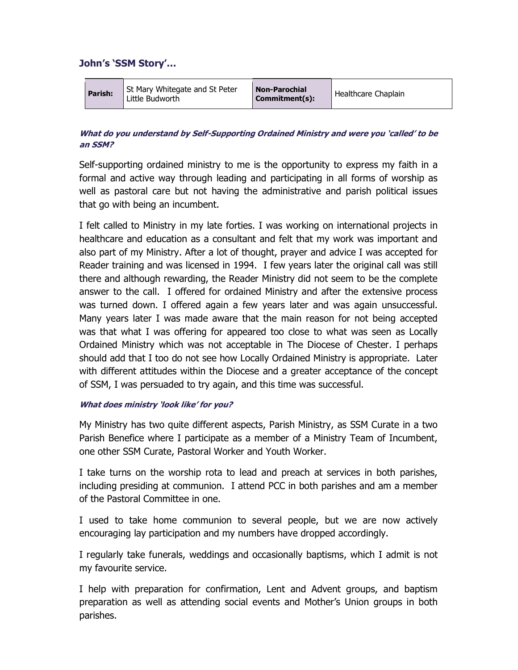# John's 'SSM Story'…

| Parish: | St Mary Whitegate and St Peter<br>Little Budworth | <b>Non-Parochial</b><br>Commitment(s): | Healthcare Chaplain |
|---------|---------------------------------------------------|----------------------------------------|---------------------|
|---------|---------------------------------------------------|----------------------------------------|---------------------|

# What do you understand by Self-Supporting Ordained Ministry and were you 'called' to be an SSM?

Self-supporting ordained ministry to me is the opportunity to express my faith in a formal and active way through leading and participating in all forms of worship as well as pastoral care but not having the administrative and parish political issues that go with being an incumbent.

I felt called to Ministry in my late forties. I was working on international projects in healthcare and education as a consultant and felt that my work was important and also part of my Ministry. After a lot of thought, prayer and advice I was accepted for Reader training and was licensed in 1994. I few years later the original call was still there and although rewarding, the Reader Ministry did not seem to be the complete answer to the call. I offered for ordained Ministry and after the extensive process was turned down. I offered again a few years later and was again unsuccessful. Many years later I was made aware that the main reason for not being accepted was that what I was offering for appeared too close to what was seen as Locally Ordained Ministry which was not acceptable in The Diocese of Chester. I perhaps should add that I too do not see how Locally Ordained Ministry is appropriate. Later with different attitudes within the Diocese and a greater acceptance of the concept of SSM, I was persuaded to try again, and this time was successful.

### What does ministry 'look like' for you?

My Ministry has two quite different aspects, Parish Ministry, as SSM Curate in a two Parish Benefice where I participate as a member of a Ministry Team of Incumbent, one other SSM Curate, Pastoral Worker and Youth Worker.

I take turns on the worship rota to lead and preach at services in both parishes, including presiding at communion. I attend PCC in both parishes and am a member of the Pastoral Committee in one.

I used to take home communion to several people, but we are now actively encouraging lay participation and my numbers have dropped accordingly.

I regularly take funerals, weddings and occasionally baptisms, which I admit is not my favourite service.

I help with preparation for confirmation, Lent and Advent groups, and baptism preparation as well as attending social events and Mother's Union groups in both parishes.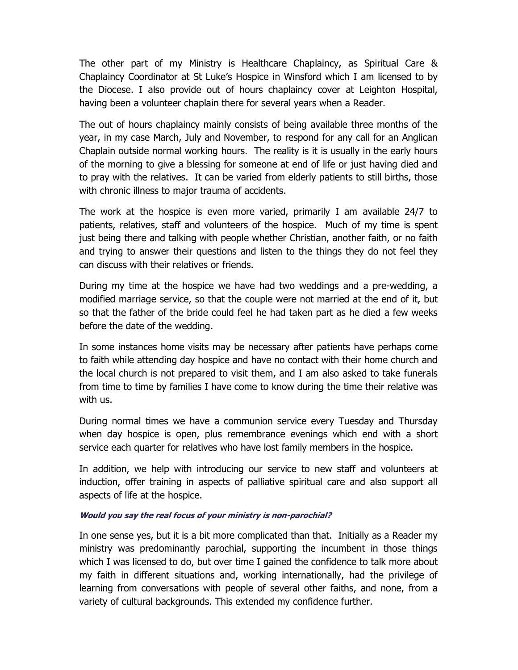The other part of my Ministry is Healthcare Chaplaincy, as Spiritual Care & Chaplaincy Coordinator at St Luke's Hospice in Winsford which I am licensed to by the Diocese. I also provide out of hours chaplaincy cover at Leighton Hospital, having been a volunteer chaplain there for several years when a Reader.

The out of hours chaplaincy mainly consists of being available three months of the year, in my case March, July and November, to respond for any call for an Anglican Chaplain outside normal working hours. The reality is it is usually in the early hours of the morning to give a blessing for someone at end of life or just having died and to pray with the relatives. It can be varied from elderly patients to still births, those with chronic illness to major trauma of accidents.

The work at the hospice is even more varied, primarily I am available 24/7 to patients, relatives, staff and volunteers of the hospice. Much of my time is spent just being there and talking with people whether Christian, another faith, or no faith and trying to answer their questions and listen to the things they do not feel they can discuss with their relatives or friends.

During my time at the hospice we have had two weddings and a pre-wedding, a modified marriage service, so that the couple were not married at the end of it, but so that the father of the bride could feel he had taken part as he died a few weeks before the date of the wedding.

In some instances home visits may be necessary after patients have perhaps come to faith while attending day hospice and have no contact with their home church and the local church is not prepared to visit them, and I am also asked to take funerals from time to time by families I have come to know during the time their relative was with us.

During normal times we have a communion service every Tuesday and Thursday when day hospice is open, plus remembrance evenings which end with a short service each quarter for relatives who have lost family members in the hospice.

In addition, we help with introducing our service to new staff and volunteers at induction, offer training in aspects of palliative spiritual care and also support all aspects of life at the hospice.

### Would you say the real focus of your ministry is non-parochial?

In one sense yes, but it is a bit more complicated than that. Initially as a Reader my ministry was predominantly parochial, supporting the incumbent in those things which I was licensed to do, but over time I gained the confidence to talk more about my faith in different situations and, working internationally, had the privilege of learning from conversations with people of several other faiths, and none, from a variety of cultural backgrounds. This extended my confidence further.